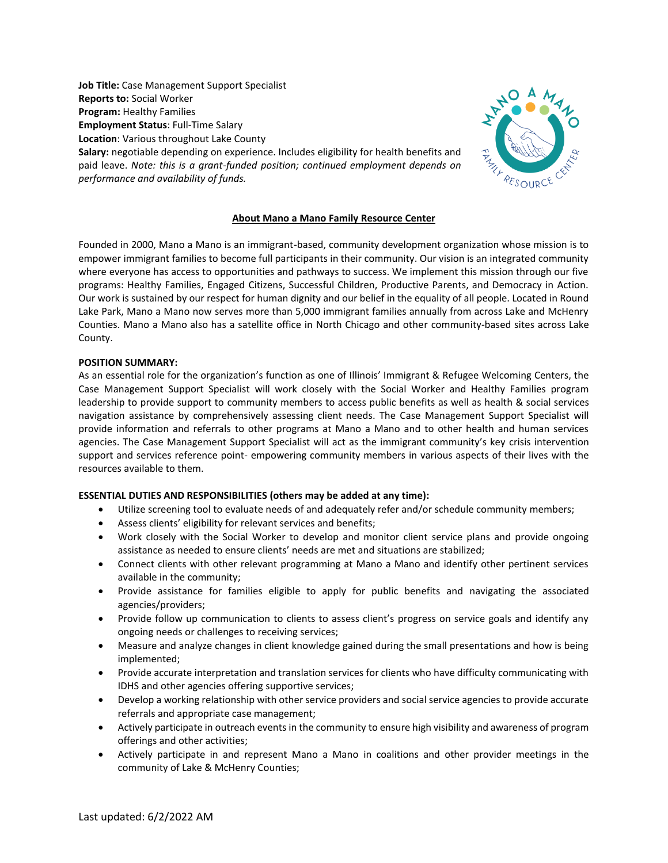**Job Title:** Case Management Support Specialist **Reports to:** Social Worker **Program:** Healthy Families **Employment Status**: Full-Time Salary **Location**: Various throughout Lake County **Salary:** negotiable depending on experience. Includes eligibility for health benefits and



# paid leave. *Note: this is a grant-funded position; continued employment depends on performance and availability of funds.*

## **About Mano a Mano Family Resource Center**

Founded in 2000, Mano a Mano is an immigrant-based, community development organization whose mission is to empower immigrant families to become full participants in their community. Our vision is an integrated community where everyone has access to opportunities and pathways to success. We implement this mission through our five programs: Healthy Families, Engaged Citizens, Successful Children, Productive Parents, and Democracy in Action. Our work is sustained by our respect for human dignity and our belief in the equality of all people. Located in Round Lake Park, Mano a Mano now serves more than 5,000 immigrant families annually from across Lake and McHenry Counties. Mano a Mano also has a satellite office in North Chicago and other community-based sites across Lake County.

## **POSITION SUMMARY:**

As an essential role for the organization's function as one of Illinois' Immigrant & Refugee Welcoming Centers, the Case Management Support Specialist will work closely with the Social Worker and Healthy Families program leadership to provide support to community members to access public benefits as well as health & social services navigation assistance by comprehensively assessing client needs. The Case Management Support Specialist will provide information and referrals to other programs at Mano a Mano and to other health and human services agencies. The Case Management Support Specialist will act as the immigrant community's key crisis intervention support and services reference point- empowering community members in various aspects of their lives with the resources available to them.

## **ESSENTIAL DUTIES AND RESPONSIBILITIES (others may be added at any time):**

- Utilize screening tool to evaluate needs of and adequately refer and/or schedule community members;
- Assess clients' eligibility for relevant services and benefits;
- Work closely with the Social Worker to develop and monitor client service plans and provide ongoing assistance as needed to ensure clients' needs are met and situations are stabilized;
- Connect clients with other relevant programming at Mano a Mano and identify other pertinent services available in the community;
- Provide assistance for families eligible to apply for public benefits and navigating the associated agencies/providers;
- Provide follow up communication to clients to assess client's progress on service goals and identify any ongoing needs or challenges to receiving services;
- Measure and analyze changes in client knowledge gained during the small presentations and how is being implemented;
- Provide accurate interpretation and translation services for clients who have difficulty communicating with IDHS and other agencies offering supportive services;
- Develop a working relationship with other service providers and social service agencies to provide accurate referrals and appropriate case management;
- Actively participate in outreach events in the community to ensure high visibility and awareness of program offerings and other activities;
- Actively participate in and represent Mano a Mano in coalitions and other provider meetings in the community of Lake & McHenry Counties;